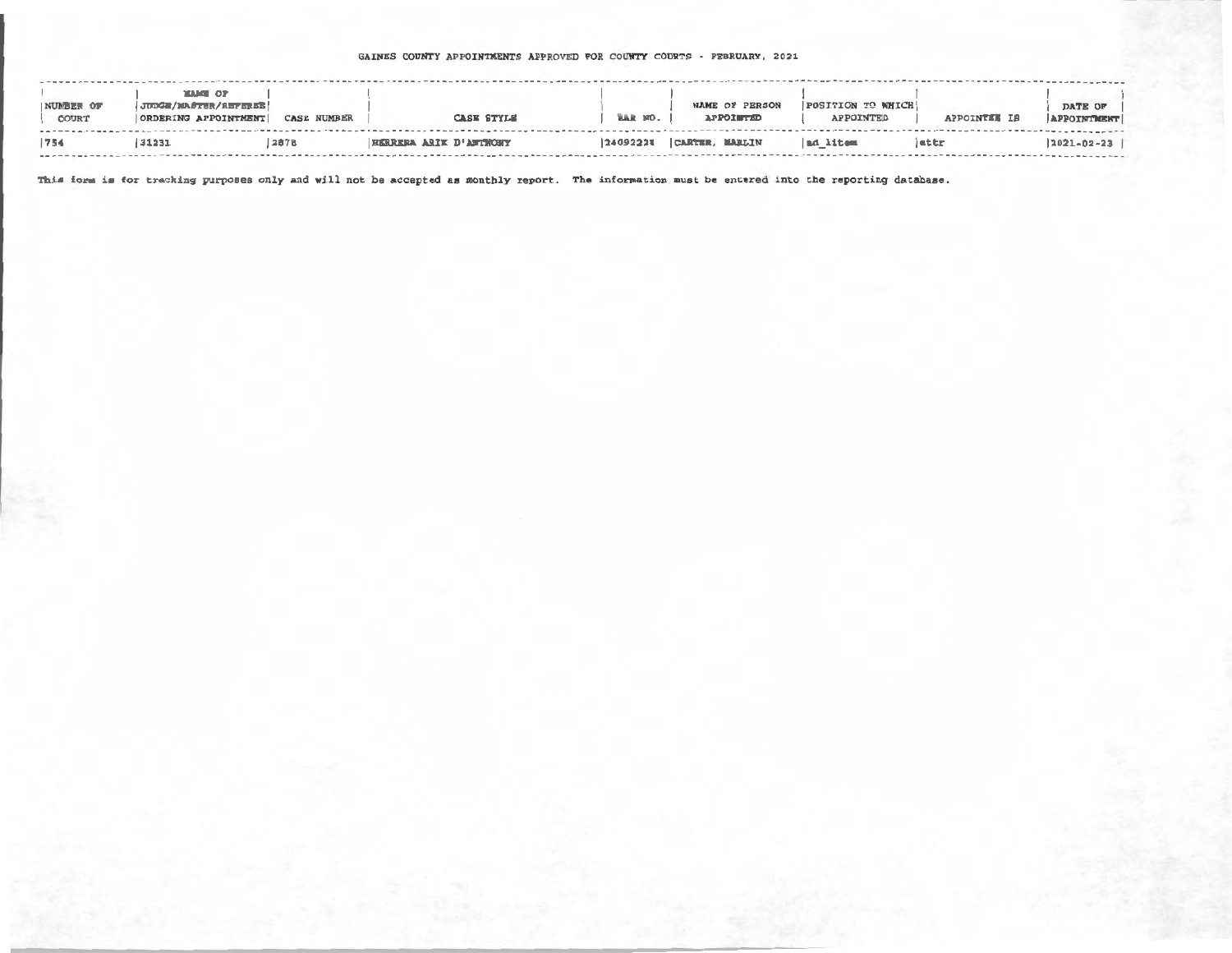## GAINES COUNTY APPOINTMENTS APPROVED FOR COUNTY COURTS - FEBRUARY, 2021

| NUMBER OF<br>COURT | <b>MAME OF</b><br>JUDGE/MASTER/REFEREE<br>ORDERING APPOINTMENT | <b>CASE NUMBER</b> |                        | <b>CASE STYLE</b> | BAR NO.  | NAME OF PERSON<br><b>APPOISTED</b> | POSITION TO WHICH<br>APPOINTED | APPOINTEE IS | DATE OF<br>APPOINTMENT |
|--------------------|----------------------------------------------------------------|--------------------|------------------------|-------------------|----------|------------------------------------|--------------------------------|--------------|------------------------|
| 754                | 131231                                                         | 2878               | HERRERA ARIK D'ANTWONY |                   | 24092228 | CARTER, MARLIN                     | ad litem                       | attr         | $2021 - 02 - 23$       |

This form is for tracking purposes only and will not be accepted as monthly report. The information must be entered into the reporting database.